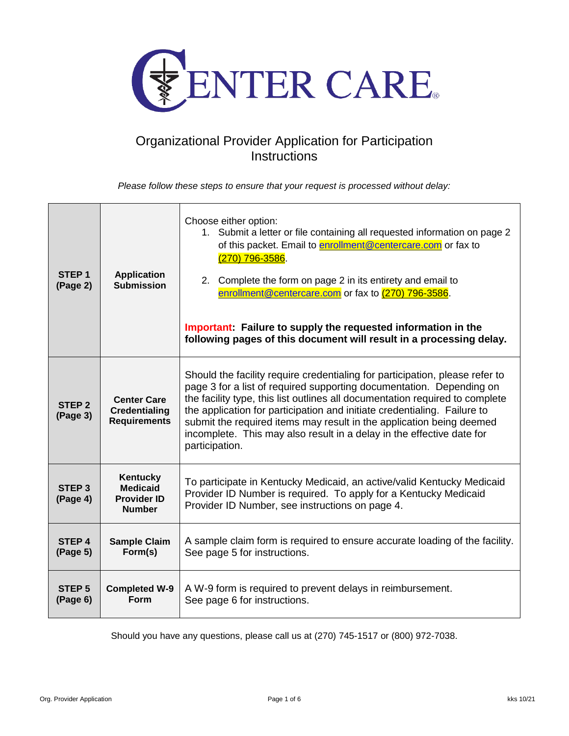

## Organizational Provider Application for Participation **Instructions**

*Please follow these steps to ensure that your request is processed without delay:*

| STEP <sub>1</sub><br>(Page 2) | <b>Application</b><br><b>Submission</b>                                   | Choose either option:<br>1. Submit a letter or file containing all requested information on page 2<br>of this packet. Email to enrollment@centercare.com or fax to<br>$(270)$ 796-3586.<br>Complete the form on page 2 in its entirety and email to<br>2.<br>enrollment@centercare.com or fax to (270) 796-3586.<br>Important: Failure to supply the requested information in the<br>following pages of this document will result in a processing delay.                            |  |
|-------------------------------|---------------------------------------------------------------------------|-------------------------------------------------------------------------------------------------------------------------------------------------------------------------------------------------------------------------------------------------------------------------------------------------------------------------------------------------------------------------------------------------------------------------------------------------------------------------------------|--|
| STEP <sub>2</sub><br>(Page 3) | <b>Center Care</b><br><b>Credentialing</b><br><b>Requirements</b>         | Should the facility require credentialing for participation, please refer to<br>page 3 for a list of required supporting documentation. Depending on<br>the facility type, this list outlines all documentation required to complete<br>the application for participation and initiate credentialing. Failure to<br>submit the required items may result in the application being deemed<br>incomplete. This may also result in a delay in the effective date for<br>participation. |  |
| STEP <sub>3</sub><br>(Page 4) | <b>Kentucky</b><br><b>Medicaid</b><br><b>Provider ID</b><br><b>Number</b> | To participate in Kentucky Medicaid, an active/valid Kentucky Medicaid<br>Provider ID Number is required. To apply for a Kentucky Medicaid<br>Provider ID Number, see instructions on page 4.                                                                                                                                                                                                                                                                                       |  |
| STEP <sub>4</sub><br>(Page 5) | <b>Sample Claim</b><br>Form(s)                                            | A sample claim form is required to ensure accurate loading of the facility.<br>See page 5 for instructions.                                                                                                                                                                                                                                                                                                                                                                         |  |
| STEP <sub>5</sub><br>(Page 6) | <b>Completed W-9</b><br>Form                                              | A W-9 form is required to prevent delays in reimbursement.<br>See page 6 for instructions.                                                                                                                                                                                                                                                                                                                                                                                          |  |

Should you have any questions, please call us at (270) 745-1517 or (800) 972-7038.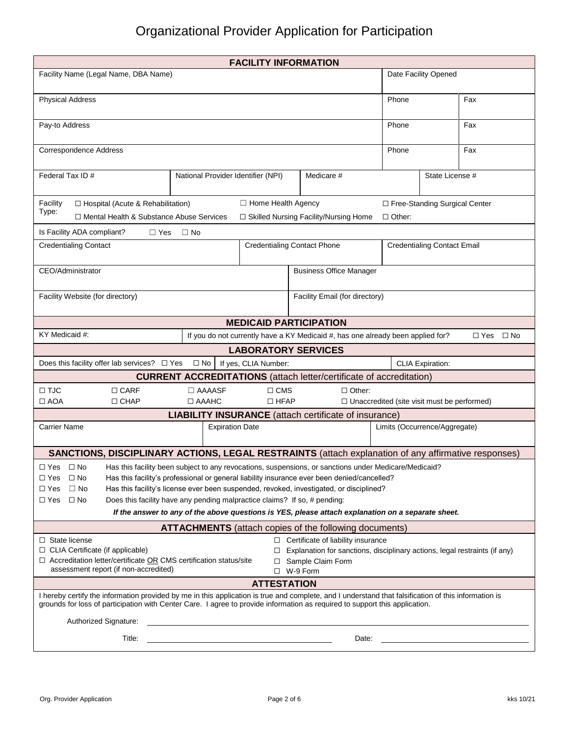# Organizational Provider Application for Participation

| <b>FACILITY INFORMATION</b>                                                                                                                                                                                                                                                                                                                                                                                                                                                                                                                                               |                                                                                 |                                                                     |                                    |                         |                            |  |  |  |
|---------------------------------------------------------------------------------------------------------------------------------------------------------------------------------------------------------------------------------------------------------------------------------------------------------------------------------------------------------------------------------------------------------------------------------------------------------------------------------------------------------------------------------------------------------------------------|---------------------------------------------------------------------------------|---------------------------------------------------------------------|------------------------------------|-------------------------|----------------------------|--|--|--|
| Facility Name (Legal Name, DBA Name)                                                                                                                                                                                                                                                                                                                                                                                                                                                                                                                                      | Date Facility Opened                                                            |                                                                     |                                    |                         |                            |  |  |  |
| <b>Physical Address</b>                                                                                                                                                                                                                                                                                                                                                                                                                                                                                                                                                   | Phone                                                                           |                                                                     | Fax                                |                         |                            |  |  |  |
| Pay-to Address                                                                                                                                                                                                                                                                                                                                                                                                                                                                                                                                                            | Phone                                                                           |                                                                     | Fax                                |                         |                            |  |  |  |
| Correspondence Address                                                                                                                                                                                                                                                                                                                                                                                                                                                                                                                                                    | Fax<br>Phone                                                                    |                                                                     |                                    |                         |                            |  |  |  |
| Federal Tax ID#                                                                                                                                                                                                                                                                                                                                                                                                                                                                                                                                                           | National Provider Identifier (NPI)                                              | Medicare #                                                          |                                    | State License #         |                            |  |  |  |
| □ Home Health Agency<br>□ Free-Standing Surgical Center<br>□ Hospital (Acute & Rehabilitation)<br>Facility<br>Type:<br>□ Skilled Nursing Facility/Nursing Home<br>□ Mental Health & Substance Abuse Services<br>$\Box$ Other:                                                                                                                                                                                                                                                                                                                                             |                                                                                 |                                                                     |                                    |                         |                            |  |  |  |
| Is Facility ADA compliant?<br>$\Box$ Yes                                                                                                                                                                                                                                                                                                                                                                                                                                                                                                                                  | $\Box$ No                                                                       |                                                                     |                                    |                         |                            |  |  |  |
| <b>Credentialing Contact</b>                                                                                                                                                                                                                                                                                                                                                                                                                                                                                                                                              |                                                                                 | <b>Credentialing Contact Phone</b>                                  |                                    |                         |                            |  |  |  |
|                                                                                                                                                                                                                                                                                                                                                                                                                                                                                                                                                                           |                                                                                 |                                                                     | <b>Credentialing Contact Email</b> |                         |                            |  |  |  |
| CEO/Administrator                                                                                                                                                                                                                                                                                                                                                                                                                                                                                                                                                         | <b>Business Office Manager</b>                                                  |                                                                     |                                    |                         |                            |  |  |  |
| Facility Website (for directory)                                                                                                                                                                                                                                                                                                                                                                                                                                                                                                                                          | Facility Email (for directory)                                                  |                                                                     |                                    |                         |                            |  |  |  |
|                                                                                                                                                                                                                                                                                                                                                                                                                                                                                                                                                                           | <b>MEDICAID PARTICIPATION</b>                                                   |                                                                     |                                    |                         |                            |  |  |  |
| KY Medicaid #:                                                                                                                                                                                                                                                                                                                                                                                                                                                                                                                                                            | If you do not currently have a KY Medicaid #, has one already been applied for? |                                                                     |                                    |                         | $\square$ No<br>$\Box$ Yes |  |  |  |
|                                                                                                                                                                                                                                                                                                                                                                                                                                                                                                                                                                           | <b>LABORATORY SERVICES</b>                                                      |                                                                     |                                    |                         |                            |  |  |  |
| Does this facility offer lab services? $\Box$ Yes                                                                                                                                                                                                                                                                                                                                                                                                                                                                                                                         | If yes, CLIA Number:<br>$\square$ No                                            |                                                                     |                                    | <b>CLIA Expiration:</b> |                            |  |  |  |
|                                                                                                                                                                                                                                                                                                                                                                                                                                                                                                                                                                           | <b>CURRENT ACCREDITATIONS</b> (attach letter/certificate of accreditation)      |                                                                     |                                    |                         |                            |  |  |  |
| $\Box$ TJC<br>$\Box$ CARF<br>$\Box$ AOA<br>□ CHAP                                                                                                                                                                                                                                                                                                                                                                                                                                                                                                                         | $\Box$ AAAASF<br>$\Box$ CMS<br>$\Box$ AAAHC<br>$\Box$ HFAP                      | $\Box$ Other:<br>$\Box$ Unaccredited (site visit must be performed) |                                    |                         |                            |  |  |  |
| <b>LIABILITY INSURANCE</b> (attach certificate of insurance)                                                                                                                                                                                                                                                                                                                                                                                                                                                                                                              |                                                                                 |                                                                     |                                    |                         |                            |  |  |  |
| <b>Carrier Name</b>                                                                                                                                                                                                                                                                                                                                                                                                                                                                                                                                                       | Limits (Occurrence/Aggregate)                                                   |                                                                     |                                    |                         |                            |  |  |  |
| <b>SANCTIONS, DISCIPLINARY ACTIONS, LEGAL RESTRAINTS (attach explanation of any affirmative responses)</b>                                                                                                                                                                                                                                                                                                                                                                                                                                                                |                                                                                 |                                                                     |                                    |                         |                            |  |  |  |
| $\Box$ Yes $\Box$ No<br>Has this facility been subject to any revocations, suspensions, or sanctions under Medicare/Medicaid?<br>Has this facility's professional or general liability insurance ever been denied/cancelled?<br>□ Yes □ No<br>$\Box$ No<br>Has this facility's license ever been suspended, revoked, investigated, or disciplined?<br>$\Box$ Yes<br>□ Yes<br>Does this facility have any pending malpractice claims? If so, # pending:<br>$\Box$ No<br>If the answer to any of the above questions is YES, please attach explanation on a separate sheet. |                                                                                 |                                                                     |                                    |                         |                            |  |  |  |
|                                                                                                                                                                                                                                                                                                                                                                                                                                                                                                                                                                           |                                                                                 |                                                                     |                                    |                         |                            |  |  |  |
| <b>ATTACHMENTS</b> (attach copies of the following documents)<br>$\Box$ Certificate of liability insurance<br>$\Box$ State license<br>□ CLIA Certificate (if applicable)<br>$\Box$ Explanation for sanctions, disciplinary actions, legal restraints (if any)<br>$\Box$ Accreditation letter/certificate OR CMS certification status/site<br>□ Sample Claim Form<br>assessment report (if non-accredited)<br>$\Box$ W-9 Form                                                                                                                                              |                                                                                 |                                                                     |                                    |                         |                            |  |  |  |
| <b>ATTESTATION</b>                                                                                                                                                                                                                                                                                                                                                                                                                                                                                                                                                        |                                                                                 |                                                                     |                                    |                         |                            |  |  |  |
| I hereby certify the information provided by me in this application is true and complete, and I understand that falsification of this information is<br>grounds for loss of participation with Center Care. I agree to provide information as required to support this application.                                                                                                                                                                                                                                                                                       |                                                                                 |                                                                     |                                    |                         |                            |  |  |  |
| Authorized Signature:<br><u> 1989 - Johann Barn, fransk politik fotograf (d. 1989)</u>                                                                                                                                                                                                                                                                                                                                                                                                                                                                                    |                                                                                 |                                                                     |                                    |                         |                            |  |  |  |
| Title:<br>Date:                                                                                                                                                                                                                                                                                                                                                                                                                                                                                                                                                           |                                                                                 |                                                                     |                                    |                         |                            |  |  |  |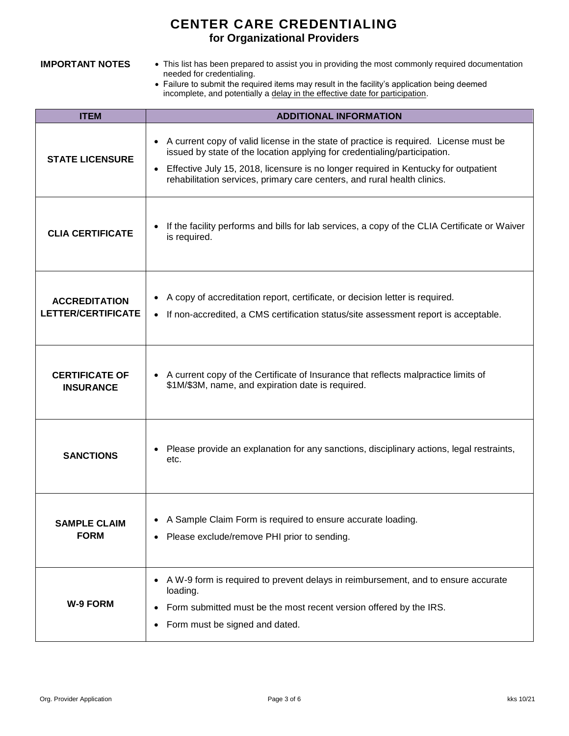## **CENTER CARE CREDENTIALING for Organizational Providers**

- **IMPORTANT NOTES** This list has been prepared to assist you in providing the most commonly required documentation needed for credentialing.
	- Failure to submit the required items may result in the facility's application being deemed incomplete, and potentially a delay in the effective date for participation.

| <b>ITEM</b>                                       | <b>ADDITIONAL INFORMATION</b>                                                                                                                                                                                                                                                                                                         |  |  |  |  |
|---------------------------------------------------|---------------------------------------------------------------------------------------------------------------------------------------------------------------------------------------------------------------------------------------------------------------------------------------------------------------------------------------|--|--|--|--|
| <b>STATE LICENSURE</b>                            | A current copy of valid license in the state of practice is required. License must be<br>issued by state of the location applying for credentialing/participation.<br>Effective July 15, 2018, licensure is no longer required in Kentucky for outpatient<br>rehabilitation services, primary care centers, and rural health clinics. |  |  |  |  |
| <b>CLIA CERTIFICATE</b>                           | If the facility performs and bills for lab services, a copy of the CLIA Certificate or Waiver<br>is required.                                                                                                                                                                                                                         |  |  |  |  |
| <b>ACCREDITATION</b><br><b>LETTER/CERTIFICATE</b> | A copy of accreditation report, certificate, or decision letter is required.<br>If non-accredited, a CMS certification status/site assessment report is acceptable.                                                                                                                                                                   |  |  |  |  |
| <b>CERTIFICATE OF</b><br><b>INSURANCE</b>         | A current copy of the Certificate of Insurance that reflects malpractice limits of<br>\$1M/\$3M, name, and expiration date is required.                                                                                                                                                                                               |  |  |  |  |
| <b>SANCTIONS</b>                                  | Please provide an explanation for any sanctions, disciplinary actions, legal restraints,<br>etc.                                                                                                                                                                                                                                      |  |  |  |  |
| <b>SAMPLE CLAIM</b><br><b>FORM</b>                | A Sample Claim Form is required to ensure accurate loading.<br>Please exclude/remove PHI prior to sending.                                                                                                                                                                                                                            |  |  |  |  |
| <b>W-9 FORM</b>                                   | A W-9 form is required to prevent delays in reimbursement, and to ensure accurate<br>loading.<br>Form submitted must be the most recent version offered by the IRS.<br>Form must be signed and dated.                                                                                                                                 |  |  |  |  |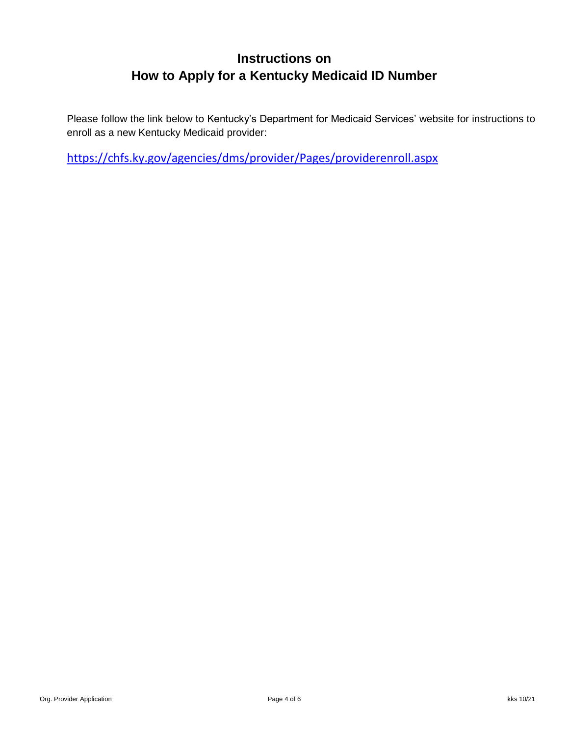# **Instructions on How to Apply for a Kentucky Medicaid ID Number**

Please follow the link below to Kentucky's Department for Medicaid Services' website for instructions to enroll as a new Kentucky Medicaid provider:

<https://chfs.ky.gov/agencies/dms/provider/Pages/providerenroll.aspx>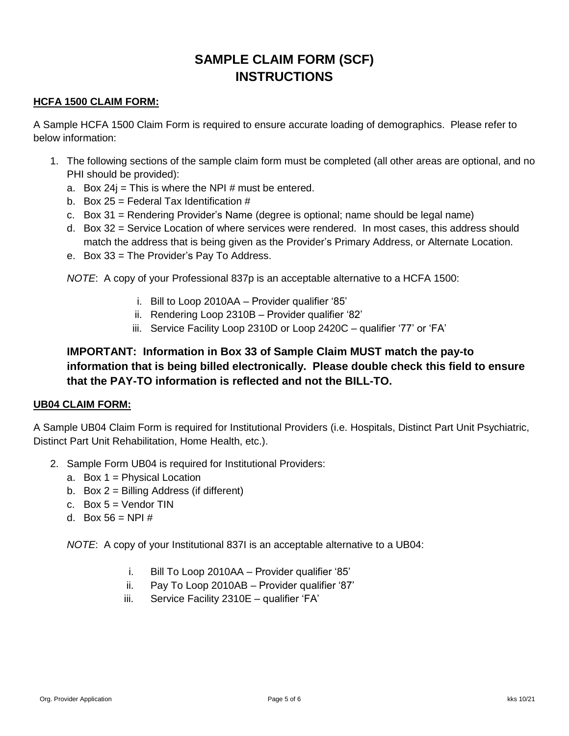# **SAMPLE CLAIM FORM (SCF) INSTRUCTIONS**

#### **HCFA 1500 CLAIM FORM:**

A Sample HCFA 1500 Claim Form is required to ensure accurate loading of demographics. Please refer to below information:

- 1. The following sections of the sample claim form must be completed (all other areas are optional, and no PHI should be provided):
	- a. Box  $24i$  = This is where the NPI # must be entered.
	- b. Box  $25$  = Federal Tax Identification  $\#$
	- c. Box 31 = Rendering Provider's Name (degree is optional; name should be legal name)
	- d. Box 32 = Service Location of where services were rendered. In most cases, this address should match the address that is being given as the Provider's Primary Address, or Alternate Location.
	- e. Box 33 = The Provider's Pay To Address.

*NOTE*: A copy of your Professional 837p is an acceptable alternative to a HCFA 1500:

- i. Bill to Loop 2010AA Provider qualifier '85'
- ii. Rendering Loop 2310B Provider qualifier '82'
- iii. Service Facility Loop 2310D or Loop 2420C qualifier '77' or 'FA'

### **IMPORTANT: Information in Box 33 of Sample Claim MUST match the pay-to information that is being billed electronically. Please double check this field to ensure that the PAY-TO information is reflected and not the BILL-TO.**

#### **UB04 CLAIM FORM:**

A Sample UB04 Claim Form is required for Institutional Providers (i.e. Hospitals, Distinct Part Unit Psychiatric, Distinct Part Unit Rehabilitation, Home Health, etc.).

- 2. Sample Form UB04 is required for Institutional Providers:
	- a. Box 1 = Physical Location
	- b. Box  $2 =$  Billing Address (if different)
	- c. Box  $5 =$  Vendor TIN
	- d. Box  $56 = NP1#$

*NOTE*: A copy of your Institutional 837I is an acceptable alternative to a UB04:

- i. Bill To Loop 2010AA Provider qualifier '85'
- ii. Pay To Loop 2010AB Provider qualifier '87'
- iii. Service Facility 2310E qualifier 'FA'